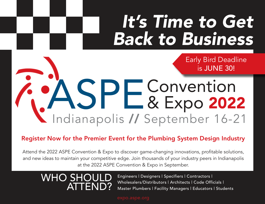# It's Time to Get Back to Business

Early Bird Deadline is JUNE 30!

Convention & Expo 2022 Indianapolis // September 16-21

Register Now for the Premier Event for the Plumbing System Design Industry

Attend the 2022 ASPE Convention & Expo to discover game-changing innovations, profitable solutions, and new ideas to maintain your competitive edge. Join thousands of your industry peers in Indianapolis at the 2022 ASPE Convention & Expo in September.

# WHO SHOULD ATTEND?

Engineers | Designers | Specifiers | Contractors | Wholesalers/Distributors | Architects | Code Officials | Master Plumbers | Facility Managers | Educators | Students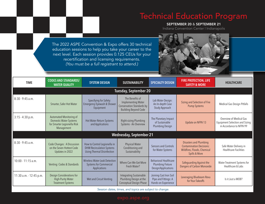## Technical Education Program

SEPTEMBER 20 & SEPTEMBER 21

Indiana Convention Center | Indianapolis

The 2022 ASPE Convention & Expo offers 30 technical education sessions to help you take your career to the next level. Each session provides 0.125 CEUs for your recertification and licensing requirements. *(You must be a full registrant to attend.)*



| <b>TIME</b>                    | <b>CODES AND STANDARDS/</b><br><b>WATER QUALITY</b>                                                   | <b>SYSTEM DESIGN</b>                                                                                  | <b>SUSTAINABILITY</b>                                                                                           | <b>SPECIALTY DESIGN</b>                                                        | <b>FIRE PROTECTION, LIFE</b><br><b>SAFETY &amp; MORE</b>                                                         | <b>HEALTHCARE</b>                                                                            |
|--------------------------------|-------------------------------------------------------------------------------------------------------|-------------------------------------------------------------------------------------------------------|-----------------------------------------------------------------------------------------------------------------|--------------------------------------------------------------------------------|------------------------------------------------------------------------------------------------------------------|----------------------------------------------------------------------------------------------|
| <b>Tuesday, September 20</b>   |                                                                                                       |                                                                                                       |                                                                                                                 |                                                                                |                                                                                                                  |                                                                                              |
| 8:30 - 9:45 a.m.               | Smarter, Safer Hot Water                                                                              | Specifying for Safety:<br><b>Emergency Eyewash &amp; Shower</b><br>Equipment                          | The Benefits of<br><b>Implementing Water</b><br><b>Conservation Standards by</b><br><b>Building Beyond Code</b> | Lab Water Design:<br>An In-depth Case<br>Study Approach                        | Sizing and Selection of Fire<br><b>Pump Systems</b>                                                              | Medical Gas Design Pitfalls                                                                  |
| $3:15 - 4:30$ p.m.             | Automated Monitoring of<br><b>Domestic Water Systems</b><br>for Smarter Legionella Risk<br>Management | Hot Water Return Systems<br>and Applications                                                          | Right-sizing Plumbing<br>Systems - An Overview                                                                  | The Planetary Impact<br>of Sustainable<br><b>Plumbing Design</b>               | Update on NFPA 13                                                                                                | Overview of Medical Gas<br><b>Equipment Selection and Sizing</b><br>in Accordance to NFPA 99 |
| <b>Wednesday, September 21</b> |                                                                                                       |                                                                                                       |                                                                                                                 |                                                                                |                                                                                                                  |                                                                                              |
| $8:30 - 9:45$ a.m.             | <b>Code Changes: A Discussion</b><br>on the Seven Hottest Code<br>Updates in 2022                     | How to Control Legionella in<br><b>DHW Recirculation Systems</b><br><b>Using Thermal Disinfection</b> | <b>Physical Water</b><br>Conditioning and<br>Sustainability                                                     | Sensors and Controls<br>for Water Systems                                      | <b>Disasters and Plumbing</b><br><b>Contamination Decisions:</b><br>Wildfires, Floods, Chemical<br>Spills & More | Safe Water Delivery in<br><b>Healthcare Facilities</b>                                       |
| 10:00 - 11:15 a.m.             | Venting: Codes & Standards                                                                            | <b>Wireless Water Leak Detection</b><br><b>Systems for Commercial</b><br>Applications                 | Where Can We Get More<br>Fresh Water?                                                                           | <b>Behavioral Healthcare</b><br><b>Plumbing Fixture</b><br>Design/Applications | Safeguarding Against the<br><b>Dangers of Carbon Monoxide</b>                                                    | Water Treatment Systems for<br>Healthcare & Labs                                             |
| 11:30 a.m. - 12:45 p.m.        | Design Considerations for<br><b>High-Purity Water</b><br><b>Treatment Systems</b>                     | Wet and Circuit Venting                                                                               | <b>Integrating Sustainable</b><br>Plumbing Design at the<br>Conceptual Design Phase                             | Joining Cast Iron Soil<br>Pipe and Fittings: A<br>Hands-on Experience          | Leveraging Bluebeam Revu<br>for Your Takeoffs                                                                    | Is it Just a MOB?                                                                            |

*Session dates, times, and topics are subject to change.*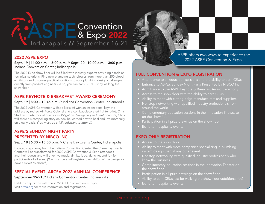# Indianapolis // September 16-21 Convention & Expo 2022

#### 2022 ASPE EXPO

Sept. 19 | 11:00 a.m. – 5:00 p.m. // Sept. 20 | 10:00 a.m. – 3:00 p.m. Indiana Convention Center, Indianapolis

The 2022 Expo show floor will be filled with industry experts providing hands-on technical solutions. Find new plumbing technologies from more than 250 global exhibitors and discover practical solutions to your plumbing design challenges directly from product engineers. Also, you can earn CEUs just by walking the show floor!

#### ASPE KEYNOTE & BREAKFAST AWARD CEREMONY

#### Sept. 19 | 8:00 – 10:45 a.m. // Indiana Convention Center, Indianapolis

The 2022 ASPE Convention & Expo kicks off with an inspirational keynote address by retired Air Force Colonel and a combat-decorated fighter pilot, Chris Stricklin. Co-Author of *Survivor's Obligation: Navigating an Intentional Life,* Chris will share his compelling story on how he learned how to heal and live more fully on a daily basis. (You must be a full registrant to attend.)

#### ASPE'S SUNDAY NIGHT PARTY PRESENTED BY NIBCO INC.

#### Sept. 18 | 6:30 – 10:00 p.m. // Crane Bay Events Center, Indianapolis

Located steps away from the Indiana Convention Center, the Crane Bay Events Center will be transformed for 2022 ASPE Convention & Expo attendees and their guests and will offer live music, drinks, food, dancing, and fun for participants of all ages. (You must be a full registrant, exhibitor with a badge, or have a ticket to attend.)

#### SPECIAL EVENT! ARCSA 2022 ANNUAL CONFERENCE

#### September 19-21 // Indiana Convention Center, Indianapolis

Held in conjunction with the 2022 ASPE Convention & Expo. Visit [arcsa.org](https://arcsa.org) for more information and registration.

ASPE offers two ways to experience the 2022 ASPE Convention & Expo.

#### FULL CONVENTION & EXPO REGISTRATION

- Attendance to all education sessions and the ability to earn CEUs
- Entrance to ASPE's Sunday Night Party Presented by NIBCO Inc.
- Admittance to the ASPE Keynote & Breakfast Award Ceremony
- Access to the show floor with the ability to earn CEUs
- Ability to meet with cutting-edge manufacturers and suppliers
- Nonstop networking with qualified industry professionals from around the world
- Complementary education sessions in the Innovation Showcase on the show floor
- Participation in all prize drawings on the show floor
- Exhibitor hospitality events

#### EXPO-ONLY REGISTRATION

- Access to the show floor
- Ability to meet with more companies specializing in plumbing system design than at any other event
- Nonstop networking with qualified industry professionals who know the business
- Complimentary education sessions in the Innovation Theater on the show floor
- Participation in all prize drawings on the show floor
- Ability to earn CEUs just for walking the show floor (additional fee)
- Exhibitor hospitality events